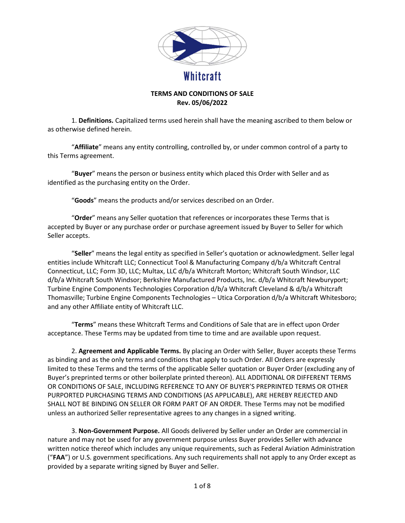

## TERMS AND CONDITIONS OF SALE Rev. 05/06/2022

 1. Definitions. Capitalized terms used herein shall have the meaning ascribed to them below or as otherwise defined herein.

 "Affiliate" means any entity controlling, controlled by, or under common control of a party to this Terms agreement.

"Buyer" means the person or business entity which placed this Order with Seller and as identified as the purchasing entity on the Order.

"Goods" means the products and/or services described on an Order.

"Order" means any Seller quotation that references or incorporates these Terms that is accepted by Buyer or any purchase order or purchase agreement issued by Buyer to Seller for which Seller accepts.

 "Seller" means the legal entity as specified in Seller's quotation or acknowledgment. Seller legal entities include Whitcraft LLC; Connecticut Tool & Manufacturing Company d/b/a Whitcraft Central Connecticut, LLC; Form 3D, LLC; Multax, LLC d/b/a Whitcraft Morton; Whitcraft South Windsor, LLC d/b/a Whitcraft South Windsor; Berkshire Manufactured Products, Inc. d/b/a Whitcraft Newburyport; Turbine Engine Components Technologies Corporation d/b/a Whitcraft Cleveland & d/b/a Whitcraft Thomasville; Turbine Engine Components Technologies – Utica Corporation d/b/a Whitcraft Whitesboro; and any other Affiliate entity of Whitcraft LLC.

 "Terms" means these Whitcraft Terms and Conditions of Sale that are in effect upon Order acceptance. These Terms may be updated from time to time and are available upon request.

2. Agreement and Applicable Terms. By placing an Order with Seller, Buyer accepts these Terms as binding and as the only terms and conditions that apply to such Order. All Orders are expressly limited to these Terms and the terms of the applicable Seller quotation or Buyer Order (excluding any of Buyer's preprinted terms or other boilerplate printed thereon). ALL ADDITIONAL OR DIFFERENT TERMS OR CONDITIONS OF SALE, INCLUDING REFERENCE TO ANY OF BUYER'S PREPRINTED TERMS OR OTHER PURPORTED PURCHASING TERMS AND CONDITIONS (AS APPLICABLE), ARE HEREBY REJECTED AND SHALL NOT BE BINDING ON SELLER OR FORM PART OF AN ORDER. These Terms may not be modified unless an authorized Seller representative agrees to any changes in a signed writing.

 3. Non-Government Purpose. All Goods delivered by Seller under an Order are commercial in nature and may not be used for any government purpose unless Buyer provides Seller with advance written notice thereof which includes any unique requirements, such as Federal Aviation Administration ("FAA") or U.S. government specifications. Any such requirements shall not apply to any Order except as provided by a separate writing signed by Buyer and Seller.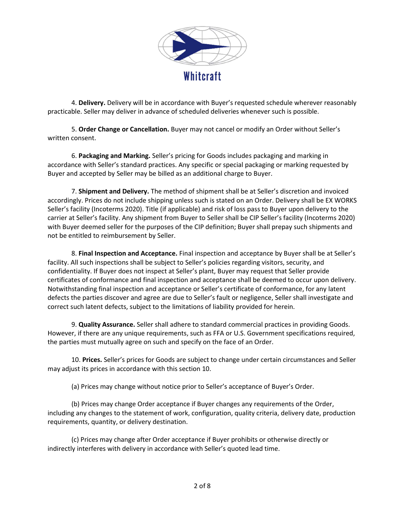

4. Delivery. Delivery will be in accordance with Buyer's requested schedule wherever reasonably practicable. Seller may deliver in advance of scheduled deliveries whenever such is possible.

5. Order Change or Cancellation. Buyer may not cancel or modify an Order without Seller's written consent.

6. Packaging and Marking. Seller's pricing for Goods includes packaging and marking in accordance with Seller's standard practices. Any specific or special packaging or marking requested by Buyer and accepted by Seller may be billed as an additional charge to Buyer.

7. Shipment and Delivery. The method of shipment shall be at Seller's discretion and invoiced accordingly. Prices do not include shipping unless such is stated on an Order. Delivery shall be EX WORKS Seller's facility (Incoterms 2020). Title (if applicable) and risk of loss pass to Buyer upon delivery to the carrier at Seller's facility. Any shipment from Buyer to Seller shall be CIP Seller's facility (Incoterms 2020) with Buyer deemed seller for the purposes of the CIP definition; Buyer shall prepay such shipments and not be entitled to reimbursement by Seller.

8. Final Inspection and Acceptance. Final inspection and acceptance by Buyer shall be at Seller's facility. All such inspections shall be subject to Seller's policies regarding visitors, security, and confidentiality. If Buyer does not inspect at Seller's plant, Buyer may request that Seller provide certificates of conformance and final inspection and acceptance shall be deemed to occur upon delivery. Notwithstanding final inspection and acceptance or Seller's certificate of conformance, for any latent defects the parties discover and agree are due to Seller's fault or negligence, Seller shall investigate and correct such latent defects, subject to the limitations of liability provided for herein.

9. Quality Assurance. Seller shall adhere to standard commercial practices in providing Goods. However, if there are any unique requirements, such as FFA or U.S. Government specifications required, the parties must mutually agree on such and specify on the face of an Order.

10. Prices. Seller's prices for Goods are subject to change under certain circumstances and Seller may adjust its prices in accordance with this section 10.

(a) Prices may change without notice prior to Seller's acceptance of Buyer's Order.

(b) Prices may change Order acceptance if Buyer changes any requirements of the Order, including any changes to the statement of work, configuration, quality criteria, delivery date, production requirements, quantity, or delivery destination.

(c) Prices may change after Order acceptance if Buyer prohibits or otherwise directly or indirectly interferes with delivery in accordance with Seller's quoted lead time.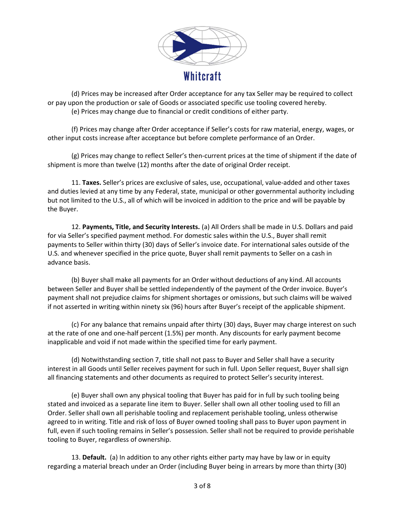

(d) Prices may be increased after Order acceptance for any tax Seller may be required to collect or pay upon the production or sale of Goods or associated specific use tooling covered hereby. (e) Prices may change due to financial or credit conditions of either party.

(f) Prices may change after Order acceptance if Seller's costs for raw material, energy, wages, or other input costs increase after acceptance but before complete performance of an Order.

(g) Prices may change to reflect Seller's then-current prices at the time of shipment if the date of shipment is more than twelve (12) months after the date of original Order receipt.

11. Taxes. Seller's prices are exclusive of sales, use, occupational, value-added and other taxes and duties levied at any time by any Federal, state, municipal or other governmental authority including but not limited to the U.S., all of which will be invoiced in addition to the price and will be payable by the Buyer.

12. Payments, Title, and Security Interests. (a) All Orders shall be made in U.S. Dollars and paid for via Seller's specified payment method. For domestic sales within the U.S., Buyer shall remit payments to Seller within thirty (30) days of Seller's invoice date. For international sales outside of the U.S. and whenever specified in the price quote, Buyer shall remit payments to Seller on a cash in advance basis.

(b) Buyer shall make all payments for an Order without deductions of any kind. All accounts between Seller and Buyer shall be settled independently of the payment of the Order invoice. Buyer's payment shall not prejudice claims for shipment shortages or omissions, but such claims will be waived if not asserted in writing within ninety six (96) hours after Buyer's receipt of the applicable shipment.

(c) For any balance that remains unpaid after thirty (30) days, Buyer may charge interest on such at the rate of one and one-half percent (1.5%) per month. Any discounts for early payment become inapplicable and void if not made within the specified time for early payment.

(d) Notwithstanding section 7, title shall not pass to Buyer and Seller shall have a security interest in all Goods until Seller receives payment for such in full. Upon Seller request, Buyer shall sign all financing statements and other documents as required to protect Seller's security interest.

(e) Buyer shall own any physical tooling that Buyer has paid for in full by such tooling being stated and invoiced as a separate line item to Buyer. Seller shall own all other tooling used to fill an Order. Seller shall own all perishable tooling and replacement perishable tooling, unless otherwise agreed to in writing. Title and risk of loss of Buyer owned tooling shall pass to Buyer upon payment in full, even if such tooling remains in Seller's possession. Seller shall not be required to provide perishable tooling to Buyer, regardless of ownership.

13. Default. (a) In addition to any other rights either party may have by law or in equity regarding a material breach under an Order (including Buyer being in arrears by more than thirty (30)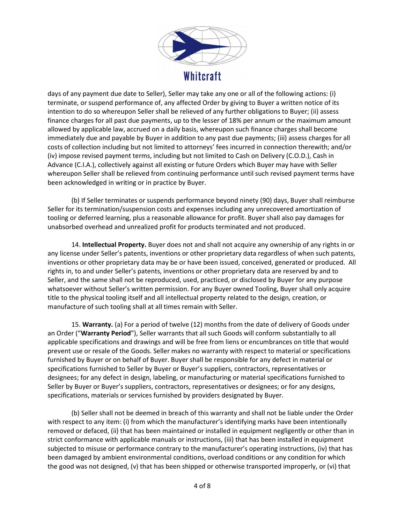

days of any payment due date to Seller), Seller may take any one or all of the following actions: (i) terminate, or suspend performance of, any affected Order by giving to Buyer a written notice of its intention to do so whereupon Seller shall be relieved of any further obligations to Buyer; (ii) assess finance charges for all past due payments, up to the lesser of 18% per annum or the maximum amount allowed by applicable law, accrued on a daily basis, whereupon such finance charges shall become immediately due and payable by Buyer in addition to any past due payments; (iii) assess charges for all costs of collection including but not limited to attorneys' fees incurred in connection therewith; and/or (iv) impose revised payment terms, including but not limited to Cash on Delivery (C.O.D.), Cash in Advance (C.I.A.), collectively against all existing or future Orders which Buyer may have with Seller whereupon Seller shall be relieved from continuing performance until such revised payment terms have been acknowledged in writing or in practice by Buyer.

(b) If Seller terminates or suspends performance beyond ninety (90) days, Buyer shall reimburse Seller for its termination/suspension costs and expenses including any unrecovered amortization of tooling or deferred learning, plus a reasonable allowance for profit. Buyer shall also pay damages for unabsorbed overhead and unrealized profit for products terminated and not produced.

14. Intellectual Property. Buyer does not and shall not acquire any ownership of any rights in or any license under Seller's patents, inventions or other proprietary data regardless of when such patents, inventions or other proprietary data may be or have been issued, conceived, generated or produced. All rights in, to and under Seller's patents, inventions or other proprietary data are reserved by and to Seller, and the same shall not be reproduced, used, practiced, or disclosed by Buyer for any purpose whatsoever without Seller's written permission. For any Buyer owned Tooling, Buyer shall only acquire title to the physical tooling itself and all intellectual property related to the design, creation, or manufacture of such tooling shall at all times remain with Seller.

15. Warranty. (a) For a period of twelve (12) months from the date of delivery of Goods under an Order ("Warranty Period"), Seller warrants that all such Goods will conform substantially to all applicable specifications and drawings and will be free from liens or encumbrances on title that would prevent use or resale of the Goods. Seller makes no warranty with respect to material or specifications furnished by Buyer or on behalf of Buyer. Buyer shall be responsible for any defect in material or specifications furnished to Seller by Buyer or Buyer's suppliers, contractors, representatives or designees; for any defect in design, labeling, or manufacturing or material specifications furnished to Seller by Buyer or Buyer's suppliers, contractors, representatives or designees; or for any designs, specifications, materials or services furnished by providers designated by Buyer.

(b) Seller shall not be deemed in breach of this warranty and shall not be liable under the Order with respect to any item: (i) from which the manufacturer's identifying marks have been intentionally removed or defaced, (ii) that has been maintained or installed in equipment negligently or other than in strict conformance with applicable manuals or instructions, (iii) that has been installed in equipment subjected to misuse or performance contrary to the manufacturer's operating instructions, (iv) that has been damaged by ambient environmental conditions, overload conditions or any condition for which the good was not designed, (v) that has been shipped or otherwise transported improperly, or (vi) that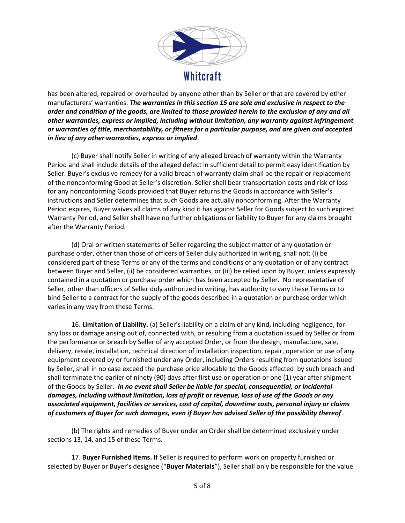

has been altered, repaired or overhauled by anyone other than by Seller or that are covered by other manufacturers' warranties. The warranties in this section 15 are sole and exclusive in respect to the order and condition of the goods, are limited to those provided herein to the exclusion of any and all other warranties, express or implied, including without limitation, any warranty against infringement or warranties of title, merchantability, or fitness for a particular purpose, and are given and accepted in lieu of any other warranties, express or implied.

(c) Buyer shall notify Seller in writing of any alleged breach of warranty within the Warranty Period and shall include details of the alleged defect in sufficient detail to permit easy identification by Seller. Buyer's exclusive remedy for a valid breach of warranty claim shall be the repair or replacement of the nonconforming Good at Seller's discretion. Seller shall bear transportation costs and risk of loss for any nonconforming Goods provided that Buyer returns the Goods in accordance with Seller's instructions and Seller determines that such Goods are actually nonconforming. After the Warranty Period expires, Buyer waives all claims of any kind it has against Seller for Goods subject to such expired Warranty Period, and Seller shall have no further obligations or liability to Buyer for any claims brought after the Warranty Period.

(d) Oral or written statements of Seller regarding the subject matter of any quotation or purchase order, other than those of officers of Seller duly authorized in writing, shall not: (i) be considered part of these Terms or any of the terms and conditions of any quotation or of any contract between Buyer and Seller, (ii) be considered warranties, or (iii) be relied upon by Buyer, unless expressly contained in a quotation or purchase order which has been accepted by Seller. No representative of Seller, other than officers of Seller duly authorized in writing, has authority to vary these Terms or to bind Seller to a contract for the supply of the goods described in a quotation or purchase order which varies in any way from these Terms.

16. Limitation of Liability. (a) Seller's liability on a claim of any kind, including negligence, for any loss or damage arising out of, connected with, or resulting from a quotation issued by Seller or from the performance or breach by Seller of any accepted Order, or from the design, manufacture, sale, delivery, resale, installation, technical direction of installation inspection, repair, operation or use of any equipment covered by or furnished under any Order, including Orders resulting from quotations issued by Seller, shall in no case exceed the purchase price allocable to the Goods affected by such breach and shall terminate the earlier of ninety (90) days after first use or operation or one (1) year after shipment of the Goods by Seller. In no event shall Seller be liable for special, consequential, or incidental damages, including without limitation, loss of profit or revenue, loss of use of the Goods or any associated equipment, facilities or services, cost of capital, downtime costs, personal injury or claims of customers of Buyer for such damages, even if Buyer has advised Seller of the possibility thereof.

(b) The rights and remedies of Buyer under an Order shall be determined exclusively under sections 13, 14, and 15 of these Terms.

17. Buyer Furnished Items. If Seller is required to perform work on property furnished or selected by Buyer or Buyer's designee ("Buyer Materials"), Seller shall only be responsible for the value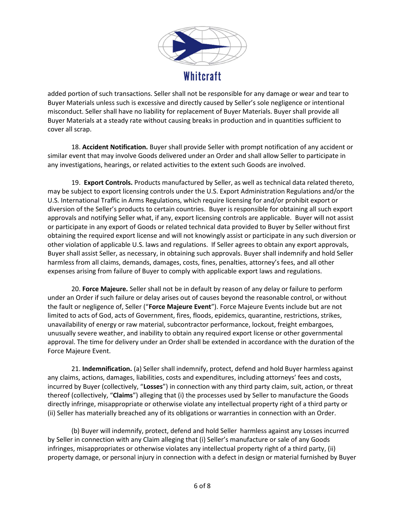

added portion of such transactions. Seller shall not be responsible for any damage or wear and tear to Buyer Materials unless such is excessive and directly caused by Seller's sole negligence or intentional misconduct. Seller shall have no liability for replacement of Buyer Materials. Buyer shall provide all Buyer Materials at a steady rate without causing breaks in production and in quantities sufficient to cover all scrap.

18. Accident Notification. Buyer shall provide Seller with prompt notification of any accident or similar event that may involve Goods delivered under an Order and shall allow Seller to participate in any investigations, hearings, or related activities to the extent such Goods are involved.

19. Export Controls. Products manufactured by Seller, as well as technical data related thereto, may be subject to export licensing controls under the U.S. Export Administration Regulations and/or the U.S. International Traffic in Arms Regulations, which require licensing for and/or prohibit export or diversion of the Seller's products to certain countries. Buyer is responsible for obtaining all such export approvals and notifying Seller what, if any, export licensing controls are applicable. Buyer will not assist or participate in any export of Goods or related technical data provided to Buyer by Seller without first obtaining the required export license and will not knowingly assist or participate in any such diversion or other violation of applicable U.S. laws and regulations. If Seller agrees to obtain any export approvals, Buyer shall assist Seller, as necessary, in obtaining such approvals. Buyer shall indemnify and hold Seller harmless from all claims, demands, damages, costs, fines, penalties, attorney's fees, and all other expenses arising from failure of Buyer to comply with applicable export laws and regulations.

20. Force Majeure. Seller shall not be in default by reason of any delay or failure to perform under an Order if such failure or delay arises out of causes beyond the reasonable control, or without the fault or negligence of, Seller ("Force Majeure Event"). Force Majeure Events include but are not limited to acts of God, acts of Government, fires, floods, epidemics, quarantine, restrictions, strikes, unavailability of energy or raw material, subcontractor performance, lockout, freight embargoes, unusually severe weather, and inability to obtain any required export license or other governmental approval. The time for delivery under an Order shall be extended in accordance with the duration of the Force Majeure Event.

21. Indemnification. (a) Seller shall indemnify, protect, defend and hold Buyer harmless against any claims, actions, damages, liabilities, costs and expenditures, including attorneys' fees and costs, incurred by Buyer (collectively, "Losses") in connection with any third party claim, suit, action, or threat thereof (collectively, "Claims") alleging that (i) the processes used by Seller to manufacture the Goods directly infringe, misappropriate or otherwise violate any intellectual property right of a third party or (ii) Seller has materially breached any of its obligations or warranties in connection with an Order.

(b) Buyer will indemnify, protect, defend and hold Seller harmless against any Losses incurred by Seller in connection with any Claim alleging that (i) Seller's manufacture or sale of any Goods infringes, misappropriates or otherwise violates any intellectual property right of a third party, (ii) property damage, or personal injury in connection with a defect in design or material furnished by Buyer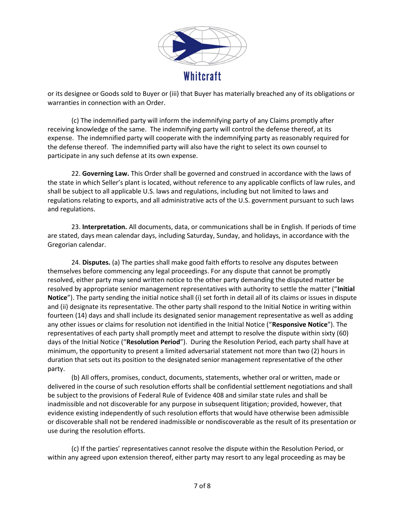

or its designee or Goods sold to Buyer or (iii) that Buyer has materially breached any of its obligations or warranties in connection with an Order.

(c) The indemnified party will inform the indemnifying party of any Claims promptly after receiving knowledge of the same. The indemnifying party will control the defense thereof, at its expense. The indemnified party will cooperate with the indemnifying party as reasonably required for the defense thereof. The indemnified party will also have the right to select its own counsel to participate in any such defense at its own expense.

22. Governing Law. This Order shall be governed and construed in accordance with the laws of the state in which Seller's plant is located, without reference to any applicable conflicts of law rules, and shall be subject to all applicable U.S. laws and regulations, including but not limited to laws and regulations relating to exports, and all administrative acts of the U.S. government pursuant to such laws and regulations.

23. Interpretation. All documents, data, or communications shall be in English. If periods of time are stated, days mean calendar days, including Saturday, Sunday, and holidays, in accordance with the Gregorian calendar.

24. Disputes. (a) The parties shall make good faith efforts to resolve any disputes between themselves before commencing any legal proceedings. For any dispute that cannot be promptly resolved, either party may send written notice to the other party demanding the disputed matter be resolved by appropriate senior management representatives with authority to settle the matter ("Initial Notice"). The party sending the initial notice shall (i) set forth in detail all of its claims or issues in dispute and (ii) designate its representative. The other party shall respond to the Initial Notice in writing within fourteen (14) days and shall include its designated senior management representative as well as adding any other issues or claims for resolution not identified in the Initial Notice ("Responsive Notice"). The representatives of each party shall promptly meet and attempt to resolve the dispute within sixty (60) days of the Initial Notice ("Resolution Period"). During the Resolution Period, each party shall have at minimum, the opportunity to present a limited adversarial statement not more than two (2) hours in duration that sets out its position to the designated senior management representative of the other party.

(b) All offers, promises, conduct, documents, statements, whether oral or written, made or delivered in the course of such resolution efforts shall be confidential settlement negotiations and shall be subject to the provisions of Federal Rule of Evidence 408 and similar state rules and shall be inadmissible and not discoverable for any purpose in subsequent litigation; provided, however, that evidence existing independently of such resolution efforts that would have otherwise been admissible or discoverable shall not be rendered inadmissible or nondiscoverable as the result of its presentation or use during the resolution efforts.

(c) If the parties' representatives cannot resolve the dispute within the Resolution Period, or within any agreed upon extension thereof, either party may resort to any legal proceeding as may be